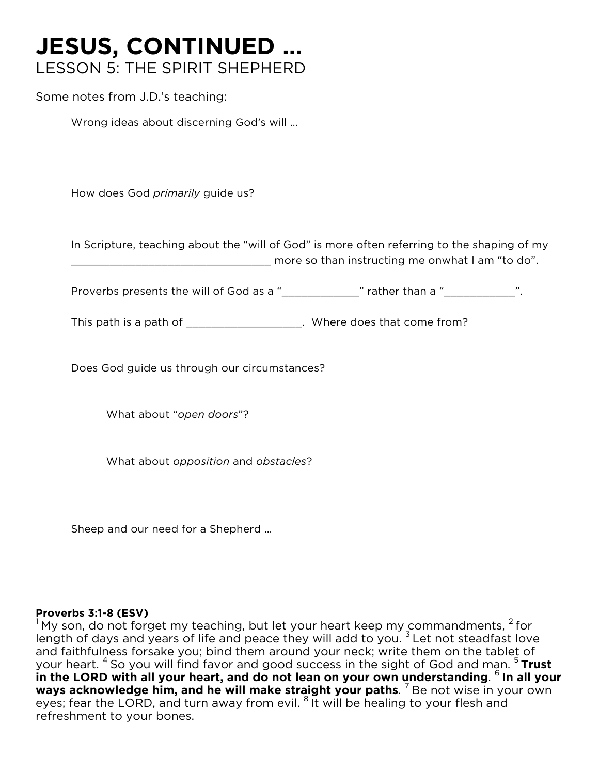# **JESUS, CONTINUED …** LESSON 5: THE SPIRIT SHEPHERD

Some notes from J.D.'s teaching:

Wrong ideas about discerning God's will …

How does God *primarily* guide us?

In Scripture, teaching about the "will of God" is more often referring to the shaping of my \_\_\_\_\_\_\_\_\_\_\_\_\_\_\_\_\_\_\_\_\_\_\_\_\_\_\_\_\_\_\_ more so than instructing me onwhat I am "to do".

Proverbs presents the will of God as a "\_\_\_\_\_\_\_\_\_\_\_\_\_\_" rather than a "\_\_\_\_\_\_\_\_\_\_\_\_".

This path is a path of \_\_\_\_\_\_\_\_\_\_\_\_\_\_\_\_\_\_\_\_. Where does that come from?

Does God guide us through our circumstances?

What about "*open doors*"?

What about *opposition* and *obstacles*?

Sheep and our need for a Shepherd …

**Proverbs 3:1-8 (ESV)**<br><sup>1</sup> My son, do not forget my teaching, but let your heart keep my commandments, <sup>2</sup> for length of days and years of life and peace they will add to you.  $3$  Let not steadfast love and faithfulness forsake you; bind them around your neck; write them on the tablet of your heart. <sup>4</sup> So you will find favor and good success in the sight of God and man. <sup>5</sup> Trust **in the LORD with all your heart, and do not lean on your own understanding**. 6 **In all your ways acknowledge him, and he will make straight your paths.** <sup>7</sup> Be not wise in your own eyes; fear the LORD, and turn away from evil. <sup>8</sup> It will be healing to your flesh and refreshment to your bones.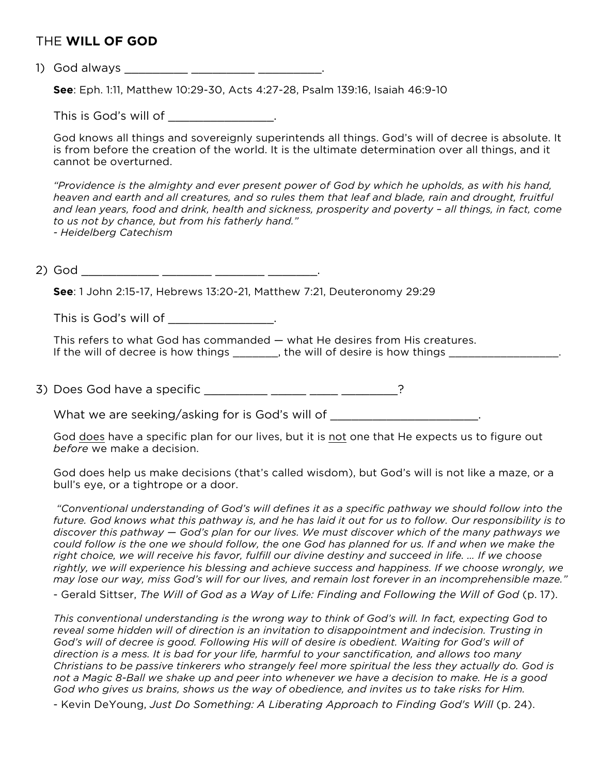### THE **WILL OF GOD**

1) God always \_\_\_\_\_\_\_\_\_ \_\_\_\_\_\_\_\_\_ \_\_\_\_\_\_\_\_\_.

**See**: Eph. 1:11, Matthew 10:29-30, Acts 4:27-28, Psalm 139:16, Isaiah 46:9-10

This is God's will of \_\_\_\_\_\_\_\_\_\_\_\_\_\_\_\_.

God knows all things and sovereignly superintends all things. God's will of decree is absolute. It is from before the creation of the world. It is the ultimate determination over all things, and it cannot be overturned.

*"Providence is the almighty and ever present power of God by which he upholds, as with his hand, heaven and earth and all creatures, and so rules them that leaf and blade, rain and drought, fruitful and lean years, food and drink, health and sickness, prosperity and poverty – all things, in fact, come to us not by chance, but from his fatherly hand." - Heidelberg Catechism*

2) God \_\_\_\_\_\_\_\_\_\_\_ \_\_\_\_\_\_\_ \_\_\_\_\_\_\_ \_\_\_\_\_\_\_.

**See**: 1 John 2:15-17, Hebrews 13:20-21, Matthew 7:21, Deuteronomy 29:29

This is God's will of \_\_\_\_\_\_\_\_\_\_\_\_\_\_\_\_\_.

This refers to what God has commanded — what He desires from His creatures. If the will of decree is how things \_\_\_\_\_\_\_, the will of desire is how things \_\_\_\_\_\_\_\_\_\_\_\_\_\_\_\_\_\_\_\_\_\_\_\_\_\_\_\_\_\_\_

3) Does God have a specific \_\_\_\_\_\_\_\_\_ \_\_\_\_\_ \_\_\_\_\_ \_\_\_\_\_\_\_\_\_?

What we are seeking/asking for is God's will of  $\blacksquare$ 

God does have a specific plan for our lives, but it is not one that He expects us to figure out *before* we make a decision.

God does help us make decisions (that's called wisdom), but God's will is not like a maze, or a bull's eye, or a tightrope or a door.

*"Conventional understanding of God's will defines it as a specific pathway we should follow into the future. God knows what this pathway is, and he has laid it out for us to follow. Our responsibility is to discover this pathway — God's plan for our lives. We must discover which of the many pathways we could follow is the one we should follow, the one God has planned for us. If and when we make the right choice, we will receive his favor, fulfill our divine destiny and succeed in life. … If we choose rightly, we will experience his blessing and achieve success and happiness. If we choose wrongly, we may lose our way, miss God's will for our lives, and remain lost forever in an incomprehensible maze."*

- Gerald Sittser, *The Will of God as a Way of Life: Finding and Following the Will of God* (p. 17).

*This conventional understanding is the wrong way to think of God's will. In fact, expecting God to reveal some hidden will of direction is an invitation to disappointment and indecision. Trusting in God's will of decree is good. Following His will of desire is obedient. Waiting for God's will of direction is a mess. It is bad for your life, harmful to your sanctification, and allows too many Christians to be passive tinkerers who strangely feel more spiritual the less they actually do. God is not a Magic 8-Ball we shake up and peer into whenever we have a decision to make. He is a good God who gives us brains, shows us the way of obedience, and invites us to take risks for Him.*

- Kevin DeYoung, *Just Do Something: A Liberating Approach to Finding God's Will* (p. 24).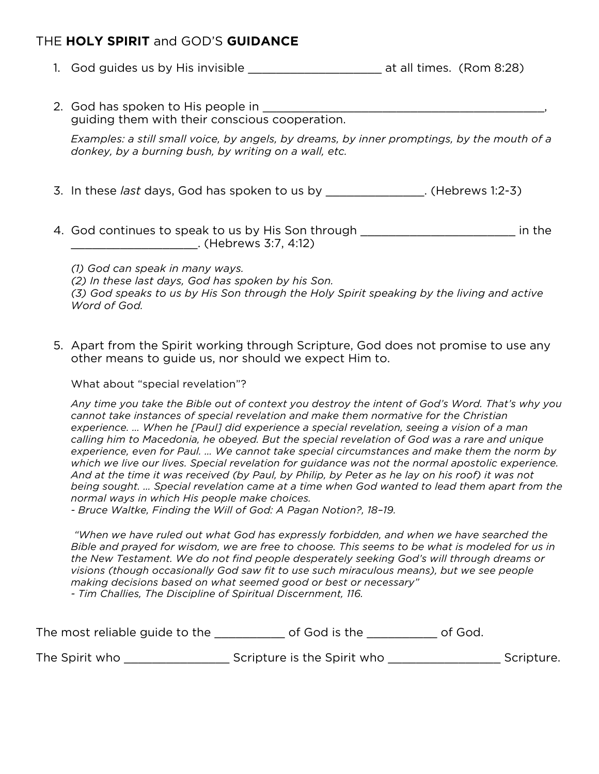# THE **HOLY SPIRIT** and GOD'S **GUIDANCE**

- 1. God guides us by His invisible and the set of all times. (Rom 8:28)
- 2. God has spoken to His people in guiding them with their conscious cooperation.

*Examples: a still small voice, by angels, by dreams, by inner promptings, by the mouth of a donkey, by a burning bush, by writing on a wall, etc.*

- 3. In these *last* days, God has spoken to us by \_\_\_\_\_\_\_\_\_\_\_\_\_\_. (Hebrews 1:2-3)
- 4. God continues to speak to us by His Son through \_\_\_\_\_\_\_\_\_\_\_\_\_\_\_\_\_\_\_\_\_\_\_\_\_\_\_\_ in the \_\_\_\_\_\_\_\_\_\_\_\_\_\_\_\_\_\_. (Hebrews 3:7, 4:12)

*(1) God can speak in many ways. (2) In these last days, God has spoken by his Son. (3) God speaks to us by His Son through the Holy Spirit speaking by the living and active Word of God.*

5. Apart from the Spirit working through Scripture, God does not promise to use any other means to guide us, nor should we expect Him to.

What about "special revelation"?

*Any time you take the Bible out of context you destroy the intent of God's Word. That's why you cannot take instances of special revelation and make them normative for the Christian experience. … When he [Paul] did experience a special revelation, seeing a vision of a man calling him to Macedonia, he obeyed. But the special revelation of God was a rare and unique experience, even for Paul. … We cannot take special circumstances and make them the norm by which we live our lives. Special revelation for guidance was not the normal apostolic experience. And at the time it was received (by Paul, by Philip, by Peter as he lay on his roof) it was not being sought. … Special revelation came at a time when God wanted to lead them apart from the normal ways in which His people make choices.* 

*- Bruce Waltke, Finding the Will of God: A Pagan Notion?, 18–19.* 

*"When we have ruled out what God has expressly forbidden, and when we have searched the Bible and prayed for wisdom, we are free to choose. This seems to be what is modeled for us in the New Testament. We do not find people desperately seeking God's will through dreams or visions (though occasionally God saw fit to use such miraculous means), but we see people making decisions based on what seemed good or best or necessary" - Tim Challies, The Discipline of Spiritual Discernment, 116.*

| The most reliable guide to the | of God is the | of God. |
|--------------------------------|---------------|---------|
|--------------------------------|---------------|---------|

The Spirit who \_\_\_\_\_\_\_\_\_\_\_\_\_\_\_\_\_\_\_\_\_\_Scripture is the Spirit who \_\_\_\_\_\_\_\_\_\_\_\_\_\_\_\_\_\_\_\_\_\_\_Scripture.